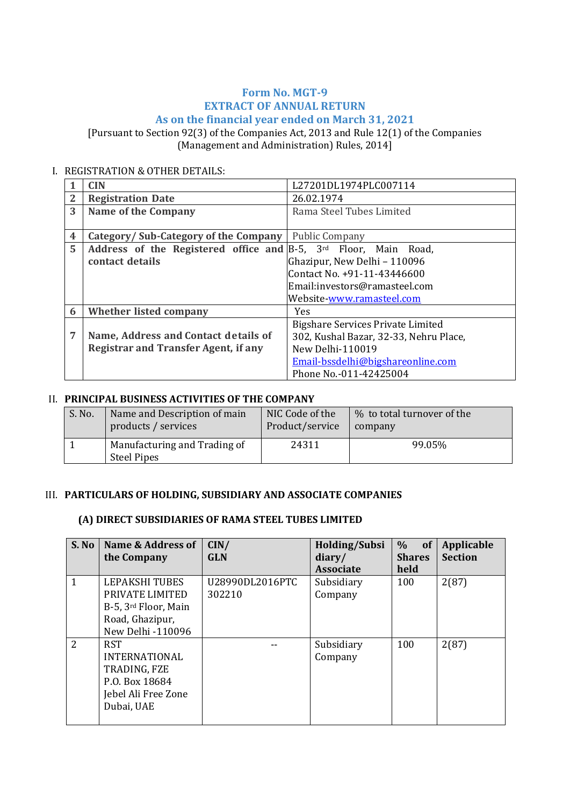#### **Form No. MGT-9 EXTRACT OF ANNUAL RETURN As on the financial year ended on March 31, 2021**

[Pursuant to Section 92(3) of the Companies Act, 2013 and Rule 12(1) of the Companies (Management and Administration) Rules, 2014]

#### I. REGISTRATION & OTHER DETAILS:

|                | CIN.                                                            | L27201DL1974PLC007114                  |
|----------------|-----------------------------------------------------------------|----------------------------------------|
| $\overline{2}$ | <b>Registration Date</b>                                        | 26.02.1974                             |
| 3              | <b>Name of the Company</b>                                      | Rama Steel Tubes Limited               |
|                |                                                                 |                                        |
| 4              | Category/Sub-Category of the Company                            | <b>Public Company</b>                  |
| 5              | Address of the Registered office and B-5, 3rd Floor, Main Road, |                                        |
|                | contact details                                                 | Ghazipur, New Delhi - 110096           |
|                |                                                                 | Contact No. +91-11-43446600            |
|                |                                                                 | Email:investors@ramasteel.com          |
|                |                                                                 | Website-www.ramasteel.com              |
| 6              | Whether listed company                                          | <b>Yes</b>                             |
|                |                                                                 | Bigshare Services Private Limited      |
| 7              | Name, Address and Contact details of                            | 302, Kushal Bazar, 32-33, Nehru Place, |
|                | <b>Registrar and Transfer Agent, if any</b>                     | New Delhi-110019                       |
|                |                                                                 | Email-bssdelhi@bigshareonline.com      |
|                |                                                                 | Phone No.-011-42425004                 |

#### II. **PRINCIPAL BUSINESS ACTIVITIES OF THE COMPANY**

| S. No. | Name and Description of main                       | NIC Code of the | % to total turnover of the |
|--------|----------------------------------------------------|-----------------|----------------------------|
|        | products / services                                | Product/service | company                    |
|        | Manufacturing and Trading of<br><b>Steel Pipes</b> | 24311           | 99.05%                     |

#### III. **PARTICULARS OF HOLDING, SUBSIDIARY AND ASSOCIATE COMPANIES**

#### **(A) DIRECT SUBSIDIARIES OF RAMA STEEL TUBES LIMITED**

| S. No                    | Name & Address of<br>the Company                                                                          | CIN/<br><b>GLN</b>        | <b>Holding/Subsi</b><br>diary/<br><b>Associate</b> | of<br>$\%$<br><b>Shares</b><br>held | <b>Applicable</b><br><b>Section</b> |
|--------------------------|-----------------------------------------------------------------------------------------------------------|---------------------------|----------------------------------------------------|-------------------------------------|-------------------------------------|
| 1                        | LEPAKSHI TUBES<br>PRIVATE LIMITED<br>B-5, 3rd Floor, Main<br>Road, Ghazipur,<br>New Delhi -110096         | U28990DL2016PTC<br>302210 | Subsidiary<br>Company                              | 100                                 | 2(87)                               |
| $\overline{\mathcal{L}}$ | <b>RST</b><br><b>INTERNATIONAL</b><br>TRADING, FZE<br>P.O. Box 18684<br>Jebel Ali Free Zone<br>Dubai, UAE |                           | Subsidiary<br>Company                              | 100                                 | 2(87)                               |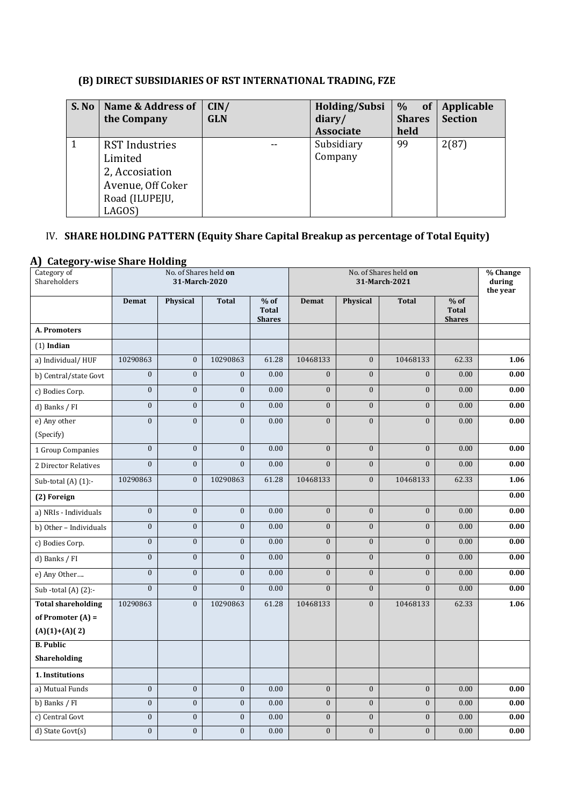## **(B) DIRECT SUBSIDIARIES OF RST INTERNATIONAL TRADING, FZE**

| S. No | Name & Address of     | CIN/       | Holding/Subsi    | $\%$<br>$\overline{\phantom{a}}$ of $\overline{\phantom{a}}$ | Applicable     |
|-------|-----------------------|------------|------------------|--------------------------------------------------------------|----------------|
|       | the Company           | <b>GLN</b> | diary/           | <b>Shares</b>                                                | <b>Section</b> |
|       |                       |            | <b>Associate</b> | held                                                         |                |
|       | <b>RST</b> Industries |            | Subsidiary       | 99                                                           | 2(87)          |
|       | Limited               |            | Company          |                                                              |                |
|       | 2, Accosiation        |            |                  |                                                              |                |
|       | Avenue, Off Coker     |            |                  |                                                              |                |
|       | Road (ILUPEJU,        |            |                  |                                                              |                |
|       | LAGOS)                |            |                  |                                                              |                |

## IV. **SHARE HOLDING PATTERN (Equity Share Capital Breakup as percentage of Total Equity)**

#### **A) Category-wise Share Holding**

| Category of<br>Shareholders |                  | No. of Shares held on<br>31-March-2020 |                  |                                         | No. of Shares held on<br>31-March-2021 |                  |                  |                                         | % Change<br>during<br>the year |
|-----------------------------|------------------|----------------------------------------|------------------|-----------------------------------------|----------------------------------------|------------------|------------------|-----------------------------------------|--------------------------------|
|                             | Demat            | Physical                               | <b>Total</b>     | $%$ of<br><b>Total</b><br><b>Shares</b> | <b>Demat</b>                           | Physical         | <b>Total</b>     | $%$ of<br><b>Total</b><br><b>Shares</b> |                                |
| A. Promoters                |                  |                                        |                  |                                         |                                        |                  |                  |                                         |                                |
| $(1)$ Indian                |                  |                                        |                  |                                         |                                        |                  |                  |                                         |                                |
| a) Individual/HUF           | 10290863         | $\boldsymbol{0}$                       | 10290863         | 61.28                                   | 10468133                               | $\boldsymbol{0}$ | 10468133         | 62.33                                   | 1.06                           |
| b) Central/state Govt       | $\overline{0}$   | $\mathbf{0}$                           | $\mathbf{0}$     | 0.00                                    | $\mathbf{0}$                           | $\boldsymbol{0}$ | $\mathbf{0}$     | 0.00                                    | 0.00                           |
| c) Bodies Corp.             | $\overline{0}$   | $\boldsymbol{0}$                       | $\boldsymbol{0}$ | 0.00                                    | $\boldsymbol{0}$                       | $\overline{0}$   | $\boldsymbol{0}$ | 0.00                                    | 0.00                           |
| d) Banks / FI               | $\overline{0}$   | $\boldsymbol{0}$                       | $\boldsymbol{0}$ | 0.00                                    | $\mathbf{0}$                           | $\overline{0}$   | $\mathbf{0}$     | 0.00                                    | 0.00                           |
| e) Any other                | $\overline{0}$   | $\mathbf{0}$                           | $\overline{0}$   | 0.00                                    | $\mathbf{0}$                           | $\overline{0}$   | $\mathbf{0}$     | 0.00                                    | 0.00                           |
| (Specify)                   |                  |                                        |                  |                                         |                                        |                  |                  |                                         |                                |
| 1 Group Companies           | $\boldsymbol{0}$ | $\boldsymbol{0}$                       | $\mathbf{0}$     | 0.00                                    | $\mathbf{0}$                           | $\boldsymbol{0}$ | $\mathbf{0}$     | 0.00                                    | 0.00                           |
| 2 Director Relatives        | $\mathbf{0}$     | $\mathbf{0}$                           | $\mathbf{0}$     | 0.00                                    | $\mathbf{0}$                           | $\overline{0}$   | $\mathbf{0}$     | 0.00                                    | 0.00                           |
| Sub-total (A) (1):-         | 10290863         | $\mathbf{0}$                           | 10290863         | 61.28                                   | 10468133                               | $\overline{0}$   | 10468133         | 62.33                                   | 1.06                           |
| (2) Foreign                 |                  |                                        |                  |                                         |                                        |                  |                  |                                         | 0.00                           |
| a) NRIs - Individuals       | $\mathbf{0}$     | $\boldsymbol{0}$                       | $\boldsymbol{0}$ | 0.00                                    | $\boldsymbol{0}$                       | $\boldsymbol{0}$ | $\boldsymbol{0}$ | 0.00                                    | 0.00                           |
| b) Other - Individuals      | $\overline{0}$   | $\boldsymbol{0}$                       | $\boldsymbol{0}$ | 0.00                                    | $\boldsymbol{0}$                       | $\overline{0}$   | $\boldsymbol{0}$ | 0.00                                    | 0.00                           |
| c) Bodies Corp.             | $\overline{0}$   | $\boldsymbol{0}$                       | $\overline{0}$   | 0.00                                    | $\boldsymbol{0}$                       | $\overline{0}$   | $\boldsymbol{0}$ | 0.00                                    | 0.00                           |
| d) Banks / FI               | $\boldsymbol{0}$ | $\boldsymbol{0}$                       | $\overline{0}$   | 0.00                                    | $\overline{0}$                         | $\overline{0}$   | $\boldsymbol{0}$ | 0.00                                    | 0.00                           |
| e) Any Other                | $\overline{0}$   | $\mathbf{0}$                           | $\boldsymbol{0}$ | 0.00                                    | $\boldsymbol{0}$                       | $\boldsymbol{0}$ | $\boldsymbol{0}$ | 0.00                                    | 0.00                           |
| Sub-total $(A)$ $(2)$ :-    | $\overline{0}$   | $\mathbf{0}$                           | $\overline{0}$   | 0.00                                    | $\overline{0}$                         | $\overline{0}$   | $\mathbf{0}$     | 0.00                                    | 0.00                           |
| <b>Total shareholding</b>   | 10290863         | $\mathbf{0}$                           | 10290863         | 61.28                                   | 10468133                               | $\overline{0}$   | 10468133         | 62.33                                   | 1.06                           |
| of Promoter $(A)$ =         |                  |                                        |                  |                                         |                                        |                  |                  |                                         |                                |
| $(A)(1)+(A)(2)$             |                  |                                        |                  |                                         |                                        |                  |                  |                                         |                                |
| <b>B.</b> Public            |                  |                                        |                  |                                         |                                        |                  |                  |                                         |                                |
| Shareholding                |                  |                                        |                  |                                         |                                        |                  |                  |                                         |                                |
| 1. Institutions             |                  |                                        |                  |                                         |                                        |                  |                  |                                         |                                |
| a) Mutual Funds             | $\mathbf{0}$     | $\boldsymbol{0}$                       | $\mathbf{0}$     | 0.00                                    | $\boldsymbol{0}$                       | $\overline{0}$   | $\mathbf{0}$     | 0.00                                    | 0.00                           |
| b) Banks / FI               | $\boldsymbol{0}$ | $\boldsymbol{0}$                       | $\boldsymbol{0}$ | 0.00                                    | $\boldsymbol{0}$                       | $\boldsymbol{0}$ | $\mathbf{0}$     | 0.00                                    | 0.00                           |
| c) Central Govt             | $\overline{0}$   | $\mathbf{0}$                           | $\boldsymbol{0}$ | 0.00                                    | $\boldsymbol{0}$                       | $\boldsymbol{0}$ | $\boldsymbol{0}$ | 0.00                                    | 0.00                           |
| d) State Govt(s)            | $\mathbf{0}$     | $\mathbf{0}$                           | $\mathbf{0}$     | 0.00                                    | $\mathbf{0}$                           | $\overline{0}$   | $\mathbf{0}$     | 0.00                                    | 0.00                           |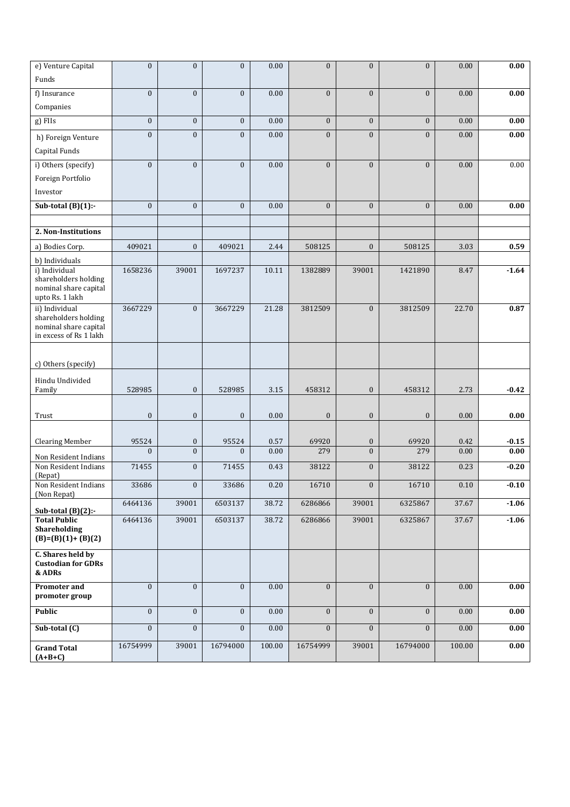| e) Venture Capital                             | $\mathbf{0}$     | $\mathbf{0}$     | $\mathbf{0}$     | 0.00     | $\mathbf{0}$     | $\overline{0}$   | $\overline{0}$   | 0.00   | 0.00    |
|------------------------------------------------|------------------|------------------|------------------|----------|------------------|------------------|------------------|--------|---------|
| Funds                                          |                  |                  |                  |          |                  |                  |                  |        |         |
| f) Insurance                                   | $\mathbf{0}$     | $\boldsymbol{0}$ | $\mathbf{0}$     | 0.00     | $\boldsymbol{0}$ | $\overline{0}$   | $\boldsymbol{0}$ | 0.00   | 0.00    |
| Companies                                      |                  |                  |                  |          |                  |                  |                  |        |         |
| g) FIIs                                        | $\mathbf{0}$     | $\mathbf{0}$     | $\mathbf{0}$     | 0.00     | $\mathbf{0}$     | $\overline{0}$   | $\mathbf{0}$     | 0.00   | 0.00    |
| h) Foreign Venture                             | $\mathbf{0}$     | $\boldsymbol{0}$ | $\mathbf{0}$     | 0.00     | $\boldsymbol{0}$ | $\overline{0}$   | $\overline{0}$   | 0.00   | 0.00    |
| Capital Funds                                  |                  |                  |                  |          |                  |                  |                  |        |         |
| i) Others (specify)                            | $\boldsymbol{0}$ | $\boldsymbol{0}$ | $\mathbf{0}$     | 0.00     | $\mathbf{0}$     | $\boldsymbol{0}$ | $\boldsymbol{0}$ | 0.00   | 0.00    |
| Foreign Portfolio                              |                  |                  |                  |          |                  |                  |                  |        |         |
| Investor                                       |                  |                  |                  |          |                  |                  |                  |        |         |
| Sub-total $(B)(1)$ :-                          | $\boldsymbol{0}$ | $\mathbf{0}$     | $\mathbf{0}$     | 0.00     | $\boldsymbol{0}$ | $\mathbf{0}$     | $\overline{0}$   | 0.00   | 0.00    |
| 2. Non-Institutions                            |                  |                  |                  |          |                  |                  |                  |        |         |
|                                                |                  |                  |                  |          |                  |                  |                  |        |         |
| a) Bodies Corp.                                | 409021           | $\mathbf{0}$     | 409021           | 2.44     | 508125           | $\boldsymbol{0}$ | 508125           | 3.03   | 0.59    |
| b) Individuals<br>i) Individual                | 1658236          | 39001            | 1697237          | 10.11    | 1382889          | 39001            | 1421890          | 8.47   | $-1.64$ |
| shareholders holding                           |                  |                  |                  |          |                  |                  |                  |        |         |
| nominal share capital<br>upto Rs. 1 lakh       |                  |                  |                  |          |                  |                  |                  |        |         |
| ii) Individual<br>shareholders holding         | 3667229          | $\mathbf{0}$     | 3667229          | 21.28    | 3812509          | $\boldsymbol{0}$ | 3812509          | 22.70  | 0.87    |
| nominal share capital                          |                  |                  |                  |          |                  |                  |                  |        |         |
| in excess of Rs 1 lakh                         |                  |                  |                  |          |                  |                  |                  |        |         |
|                                                |                  |                  |                  |          |                  |                  |                  |        |         |
| c) Others (specify)                            |                  |                  |                  |          |                  |                  |                  |        |         |
| Hindu Undivided                                |                  |                  |                  |          |                  |                  |                  |        |         |
| Family                                         | 528985           | $\boldsymbol{0}$ | 528985           | 3.15     | 458312           | $\boldsymbol{0}$ | 458312           | 2.73   | $-0.42$ |
| Trust                                          | $\boldsymbol{0}$ | $\boldsymbol{0}$ | $\boldsymbol{0}$ | 0.00     | $\boldsymbol{0}$ | $\mathbf{0}$     | $\boldsymbol{0}$ | 0.00   | 0.00    |
|                                                |                  |                  |                  |          |                  |                  |                  |        |         |
| <b>Clearing Member</b>                         | 95524            | $\boldsymbol{0}$ | 95524            | 0.57     | 69920            | $\boldsymbol{0}$ | 69920            | 0.42   | $-0.15$ |
| Non Resident Indians                           | $\mathbf{0}$     | $\boldsymbol{0}$ | $\mathbf{0}$     | 0.00     | 279              | $\overline{0}$   | 279              | 0.00   | 0.00    |
| Non Resident Indians<br>(Repat)                | 71455            | $\mathbf{0}$     | 71455            | 0.43     | 38122            | $\mathbf{0}$     | 38122            | 0.23   | $-0.20$ |
| Non Resident Indians                           | 33686            | $\boldsymbol{0}$ | 33686            | 0.20     | 16710            | $\mathbf{0}$     | 16710            | 0.10   | $-0.10$ |
| (Non Repat)                                    | 6464136          | 39001            | 6503137          | 38.72    | 6286866          | 39001            | 6325867          | 37.67  | $-1.06$ |
| Sub-total $(B)(2)$ :-<br><b>Total Public</b>   | 6464136          | 39001            | 6503137          | 38.72    | 6286866          | 39001            | 6325867          | 37.67  | $-1.06$ |
| Shareholding                                   |                  |                  |                  |          |                  |                  |                  |        |         |
| $(B)=(B)(1)+(B)(2)$                            |                  |                  |                  |          |                  |                  |                  |        |         |
| C. Shares held by<br><b>Custodian for GDRs</b> |                  |                  |                  |          |                  |                  |                  |        |         |
| & ADRs                                         |                  |                  |                  |          |                  |                  |                  |        |         |
| Promoter and                                   | $\mathbf{0}$     | $\mathbf{0}$     | $\mathbf{0}$     | 0.00     | $\mathbf{0}$     | $\mathbf{0}$     | $\mathbf{0}$     | 0.00   | 0.00    |
| promoter group                                 |                  |                  |                  |          |                  |                  |                  |        |         |
| Public                                         | $\mathbf{0}$     | $\boldsymbol{0}$ | $\mathbf{0}$     | $0.00\,$ | $\boldsymbol{0}$ | $\mathbf{0}$     | $\boldsymbol{0}$ | 0.00   | 0.00    |
| Sub-total (C)                                  | $\mathbf{0}$     | $\boldsymbol{0}$ | $\overline{0}$   | 0.00     | $\mathbf{0}$     | $\mathbf{0}$     | $\overline{0}$   | 0.00   | 0.00    |
| <b>Grand Total</b>                             | 16754999         | 39001            | 16794000         | 100.00   | 16754999         | 39001            | 16794000         | 100.00 | 0.00    |
| $(A+B+C)$                                      |                  |                  |                  |          |                  |                  |                  |        |         |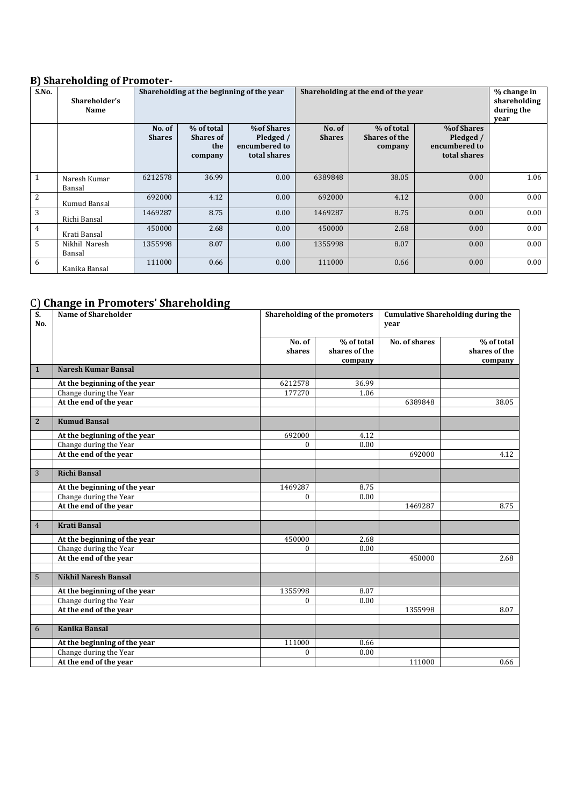### **B) Shareholding of Promoter-**

| S.No.        | Shareholder's<br><b>Name</b> |                         |                                                  | Shareholding at the beginning of the year                       |                         | Shareholding at the end of the year           |                                                                 |      |
|--------------|------------------------------|-------------------------|--------------------------------------------------|-----------------------------------------------------------------|-------------------------|-----------------------------------------------|-----------------------------------------------------------------|------|
|              |                              | No. of<br><b>Shares</b> | % of total<br><b>Shares of</b><br>the<br>company | <b>%of Shares</b><br>Pledged /<br>encumbered to<br>total shares | No. of<br><b>Shares</b> | % of total<br><b>Shares of the</b><br>company | <b>%of Shares</b><br>Pledged /<br>encumbered to<br>total shares |      |
| $\mathbf{1}$ | Naresh Kumar<br>Bansal       | 6212578                 | 36.99                                            | 0.00                                                            | 6389848                 | 38.05                                         | 0.00                                                            | 1.06 |
| 2            | Kumud Bansal                 | 692000                  | 4.12                                             | 0.00                                                            | 692000                  | 4.12                                          | 0.00                                                            | 0.00 |
| 3            | Richi Bansal                 | 1469287                 | 8.75                                             | 0.00                                                            | 1469287                 | 8.75                                          | 0.00                                                            | 0.00 |
| 4            | Krati Bansal                 | 450000                  | 2.68                                             | 0.00                                                            | 450000                  | 2.68                                          | 0.00                                                            | 0.00 |
| 5            | Nikhil Naresh<br>Bansal      | 1355998                 | 8.07                                             | 0.00                                                            | 1355998                 | 8.07                                          | 0.00                                                            | 0.00 |
| 6            | Kanika Bansal                | 111000                  | 0.66                                             | 0.00                                                            | 111000                  | 0.66                                          | 0.00                                                            | 0.00 |

## C) **Change in Promoters' Shareholding**

| S.<br>No.      | <b>Name of Shareholder</b>   | Shareholding of the promoters |                                        |               | <b>Cumulative Shareholding during the</b><br>year |  |
|----------------|------------------------------|-------------------------------|----------------------------------------|---------------|---------------------------------------------------|--|
|                |                              |                               |                                        |               |                                                   |  |
|                |                              | No. of<br>shares              | % of total<br>shares of the<br>company | No. of shares | % of total<br>shares of the<br>company            |  |
| $\mathbf{1}$   | <b>Naresh Kumar Bansal</b>   |                               |                                        |               |                                                   |  |
|                | At the beginning of the year | 6212578                       | 36.99                                  |               |                                                   |  |
|                | Change during the Year       | 177270                        | 1.06                                   |               |                                                   |  |
|                | At the end of the year       |                               |                                        | 6389848       | 38.05                                             |  |
|                |                              |                               |                                        |               |                                                   |  |
| $\overline{2}$ | <b>Kumud Bansal</b>          |                               |                                        |               |                                                   |  |
|                | At the beginning of the year | 692000                        | 4.12                                   |               |                                                   |  |
|                | Change during the Year       | $\mathbf{0}$                  | 0.00                                   |               |                                                   |  |
|                | At the end of the year       |                               |                                        | 692000        | 4.12                                              |  |
|                |                              |                               |                                        |               |                                                   |  |
| 3              | <b>Richi Bansal</b>          |                               |                                        |               |                                                   |  |
|                | At the beginning of the year | 1469287                       | 8.75                                   |               |                                                   |  |
|                | Change during the Year       | 0                             | 0.00                                   |               |                                                   |  |
|                | At the end of the year       |                               |                                        | 1469287       | 8.75                                              |  |
|                |                              |                               |                                        |               |                                                   |  |
| $\overline{4}$ | <b>Krati Bansal</b>          |                               |                                        |               |                                                   |  |
|                | At the beginning of the year | 450000                        | 2.68                                   |               |                                                   |  |
|                | Change during the Year       | $\mathbf{0}$                  | 0.00                                   |               |                                                   |  |
|                | At the end of the year       |                               |                                        | 450000        | 2.68                                              |  |
|                |                              |                               |                                        |               |                                                   |  |
| 5              | <b>Nikhil Naresh Bansal</b>  |                               |                                        |               |                                                   |  |
|                | At the beginning of the year | 1355998                       | 8.07                                   |               |                                                   |  |
|                | Change during the Year       | $\Omega$                      | 0.00                                   |               |                                                   |  |
|                | At the end of the year       |                               |                                        | 1355998       | 8.07                                              |  |
|                |                              |                               |                                        |               |                                                   |  |
| 6              | <b>Kanika Bansal</b>         |                               |                                        |               |                                                   |  |
|                | At the beginning of the year | 111000                        | 0.66                                   |               |                                                   |  |
|                | Change during the Year       | 0                             | 0.00                                   |               |                                                   |  |
|                | At the end of the year       |                               |                                        | 111000        | 0.66                                              |  |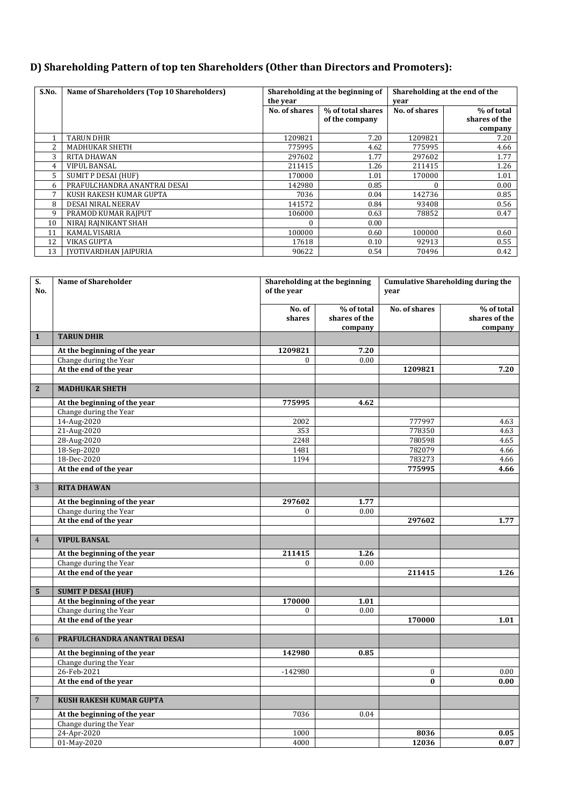## **D) Shareholding Pattern of top ten Shareholders (Other than Directors and Promoters):**

| S.No.          | Name of Shareholders (Top 10 Shareholders) |               | Shareholding at the beginning of |               | Shareholding at the end of the |
|----------------|--------------------------------------------|---------------|----------------------------------|---------------|--------------------------------|
|                |                                            | the year      |                                  | vear          |                                |
|                |                                            | No. of shares | % of total shares                | No. of shares | % of total                     |
|                |                                            |               | of the company                   |               | shares of the                  |
|                |                                            |               |                                  |               | company                        |
|                | <b>TARUN DHIR</b>                          | 1209821       | 7.20                             | 1209821       | 7.20                           |
| $\overline{2}$ | <b>MADHUKAR SHETH</b>                      | 775995        | 4.62                             | 775995        | 4.66                           |
| 3              | <b>RITA DHAWAN</b>                         | 297602        | 1.77                             | 297602        | 1.77                           |
| 4              | <b>VIPUL BANSAL</b>                        | 211415        | 1.26                             | 211415        | 1.26                           |
| 5              | SUMIT P DESAI (HUF)                        | 170000        | 1.01                             | 170000        | 1.01                           |
| 6              | PRAFULCHANDRA ANANTRAI DESAI               | 142980        | 0.85                             | $\Omega$      | 0.00                           |
| 7              | KUSH RAKESH KUMAR GUPTA                    | 7036          | 0.04                             | 142736        | 0.85                           |
| 8              | DESAI NIRAL NEERAV                         | 141572        | 0.84                             | 93408         | 0.56                           |
| 9              | PRAMOD KUMAR RAJPUT                        | 106000        | 0.63                             | 78852         | 0.47                           |
| 10             | NIRAJ RAJNIKANT SHAH                       | 0             | 0.00                             |               |                                |
| 11             | <b>KAMAL VISARIA</b>                       | 100000        | 0.60                             | 100000        | 0.60                           |
| 12             | <b>VIKAS GUPTA</b>                         | 17618         | 0.10                             | 92913         | 0.55                           |
| 13             | <b>IYOTIVARDHAN IAIPURIA</b>               | 90622         | 0.54                             | 70496         | 0.42                           |

| S.<br>No.      | <b>Name of Shareholder</b>                                 | of the year      | Shareholding at the beginning          |                  | <b>Cumulative Shareholding during the</b> |
|----------------|------------------------------------------------------------|------------------|----------------------------------------|------------------|-------------------------------------------|
|                |                                                            | No. of<br>shares | % of total<br>shares of the<br>company | No. of shares    | % of total<br>shares of the<br>company    |
| $\mathbf{1}$   | <b>TARUN DHIR</b>                                          |                  |                                        |                  |                                           |
|                | At the beginning of the year                               | 1209821          | 7.20                                   |                  |                                           |
|                | Change during the Year                                     | $\Omega$         | 0.00                                   |                  |                                           |
|                | At the end of the year                                     |                  |                                        | 1209821          | 7.20                                      |
|                |                                                            |                  |                                        |                  |                                           |
| $\mathbf{2}$   | <b>MADHUKAR SHETH</b>                                      |                  |                                        |                  |                                           |
|                | At the beginning of the year                               | 775995           | 4.62                                   |                  |                                           |
|                | Change during the Year                                     |                  |                                        |                  |                                           |
|                | 14-Aug-2020                                                | 2002<br>353      |                                        | 777997           | 4.63                                      |
|                | 21-Aug-2020<br>28-Aug-2020                                 | 2248             |                                        | 778350<br>780598 | 4.63<br>4.65                              |
|                | 18-Sep-2020                                                | 1481             |                                        | 782079           | 4.66                                      |
|                | 18-Dec-2020                                                | 1194             |                                        | 783273           | 4.66                                      |
|                | At the end of the year                                     |                  |                                        | 775995           | 4.66                                      |
|                |                                                            |                  |                                        |                  |                                           |
| $\sqrt{3}$     | <b>RITA DHAWAN</b>                                         |                  |                                        |                  |                                           |
|                | At the beginning of the year                               | 297602           | 1.77                                   |                  |                                           |
|                | Change during the Year                                     | $\Omega$         | 0.00                                   |                  |                                           |
|                | At the end of the year                                     |                  |                                        | 297602           | 1.77                                      |
|                |                                                            |                  |                                        |                  |                                           |
| $\overline{4}$ | <b>VIPUL BANSAL</b>                                        |                  |                                        |                  |                                           |
|                | At the beginning of the year                               | 211415           | 1.26                                   |                  |                                           |
|                | Change during the Year                                     | $\mathbf{0}$     | 0.00                                   |                  |                                           |
|                | At the end of the year                                     |                  |                                        | 211415           | 1.26                                      |
|                |                                                            |                  |                                        |                  |                                           |
| 5 <sup>5</sup> | <b>SUMIT P DESAI (HUF)</b><br>At the beginning of the year | 170000           | 1.01                                   |                  |                                           |
|                | Change during the Year                                     | 0                | 0.00                                   |                  |                                           |
|                | At the end of the year                                     |                  |                                        | 170000           | 1.01                                      |
|                |                                                            |                  |                                        |                  |                                           |
| 6              | PRAFULCHANDRA ANANTRAI DESAI                               |                  |                                        |                  |                                           |
|                | At the beginning of the year                               | 142980           | 0.85                                   |                  |                                           |
|                | Change during the Year                                     |                  |                                        |                  |                                           |
|                | 26-Feb-2021                                                | $-142980$        |                                        | $\mathbf{0}$     | 0.00                                      |
|                | At the end of the year                                     |                  |                                        | $\bf{0}$         | 0.00                                      |
|                |                                                            |                  |                                        |                  |                                           |
| $\overline{7}$ | <b>KUSH RAKESH KUMAR GUPTA</b>                             |                  |                                        |                  |                                           |
|                | At the beginning of the year                               | 7036             | 0.04                                   |                  |                                           |
|                | Change during the Year                                     |                  |                                        |                  |                                           |
|                | 24-Apr-2020                                                | 1000             |                                        | 8036             | 0.05                                      |
|                | 01-May-2020                                                | 4000             |                                        | 12036            | 0.07                                      |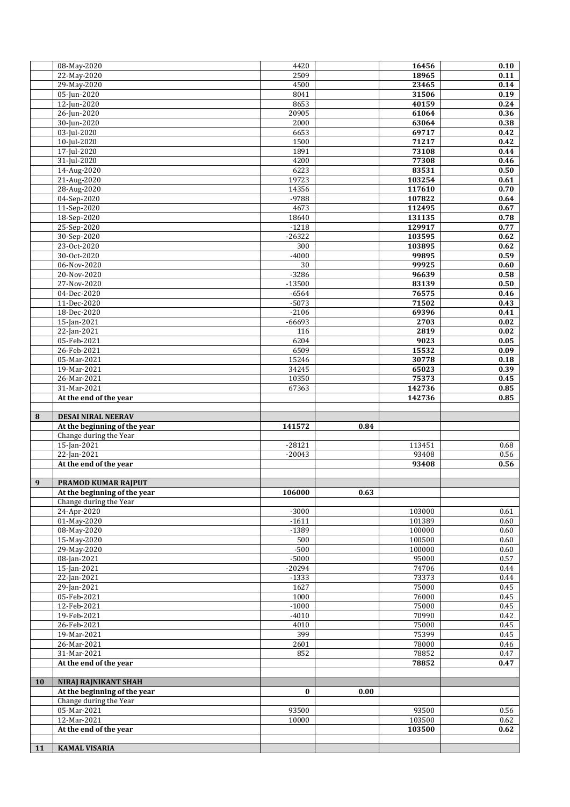|           | 08-May-2020                                               | 4420                |      | 16456            | 0.10         |
|-----------|-----------------------------------------------------------|---------------------|------|------------------|--------------|
|           | 22-May-2020                                               | 2509                |      | 18965            | 0.11         |
|           | 29-May-2020                                               | 4500                |      | 23465            | 0.14         |
|           | 05-Jun-2020                                               | 8041                |      | 31506            | 0.19         |
|           | 12-Jun-2020<br>26-Jun-2020                                | 8653<br>20905       |      | 40159<br>61064   | 0.24<br>0.36 |
|           | 30-Jun-2020                                               | 2000                |      | 63064            | 0.38         |
|           | 03-Jul-2020                                               | 6653                |      | 69717            | 0.42         |
|           | 10-Jul-2020                                               | 1500                |      | 71217            | 0.42         |
|           | 17-Jul-2020                                               | 1891                |      | 73108            | 0.44         |
|           | 31-Jul-2020                                               | 4200                |      | 77308            | 0.46         |
|           | 14-Aug-2020                                               | 6223                |      | 83531            | 0.50         |
|           | 21-Aug-2020                                               | 19723               |      | 103254           | 0.61         |
|           | 28-Aug-2020                                               | 14356               |      | 117610           | 0.70         |
|           | 04-Sep-2020                                               | $-9788$             |      | 107822           | 0.64         |
|           | 11-Sep-2020                                               | 4673                |      | 112495           | 0.67         |
|           | 18-Sep-2020                                               | 18640               |      | 131135           | 0.78         |
|           | 25-Sep-2020                                               | $-1218$             |      | 129917           | 0.77         |
|           | 30-Sep-2020<br>23-Oct-2020                                | $-26322$<br>300     |      | 103595<br>103895 | 0.62         |
|           | 30-Oct-2020                                               | $-4000$             |      | 99895            | 0.62<br>0.59 |
|           | 06-Nov-2020                                               | 30                  |      | 99925            | 0.60         |
|           | 20-Nov-2020                                               | $-3286$             |      | 96639            | 0.58         |
|           | 27-Nov-2020                                               | $-13500$            |      | 83139            | 0.50         |
|           | 04-Dec-2020                                               | $-6564$             |      | 76575            | 0.46         |
|           | 11-Dec-2020                                               | $-5073$             |      | 71502            | 0.43         |
|           | 18-Dec-2020                                               | $-2106$             |      | 69396            | 0.41         |
|           | 15-Jan-2021                                               | $-66693$            |      | 2703             | 0.02         |
|           | 22-Jan-2021                                               | 116                 |      | 2819             | 0.02         |
|           | 05-Feb-2021                                               | 6204                |      | 9023             | 0.05         |
|           | 26-Feb-2021                                               | 6509                |      | 15532            | 0.09         |
|           | 05-Mar-2021                                               | 15246               |      | 30778            | 0.18         |
|           | 19-Mar-2021                                               | 34245               |      | 65023            | 0.39         |
|           | 26-Mar-2021<br>31-Mar-2021                                | 10350<br>67363      |      | 75373<br>142736  | 0.45<br>0.85 |
|           | At the end of the year                                    |                     |      | 142736           | 0.85         |
|           |                                                           |                     |      |                  |              |
|           |                                                           |                     |      |                  |              |
| 8         |                                                           |                     |      |                  |              |
|           | <b>DESAI NIRAL NEERAV</b><br>At the beginning of the year | 141572              | 0.84 |                  |              |
|           | Change during the Year                                    |                     |      |                  |              |
|           | 15-Jan-2021                                               | $-28121$            |      | 113451           | 0.68         |
|           | 22-Jan-2021                                               | $-20043$            |      | 93408            | 0.56         |
|           | At the end of the year                                    |                     |      | 93408            | 0.56         |
|           |                                                           |                     |      |                  |              |
| 9         | PRAMOD KUMAR RAJPUT                                       |                     |      |                  |              |
|           | At the beginning of the year                              | 106000              | 0.63 |                  |              |
|           | Change during the Year                                    |                     |      |                  |              |
|           | 24-Apr-2020                                               | $-3000$             |      | 103000           | 0.61         |
|           | 01-May-2020                                               | $-1611$             |      | 101389           | 0.60         |
|           | 08-May-2020                                               | $-1389$             |      | 100000           | 0.60         |
|           | 15-May-2020                                               | 500                 |      | 100500           | 0.60         |
|           | 29-May-2020                                               | $-500$              |      | 100000<br>95000  | 0.60         |
|           | 08-Jan-2021<br>15-Jan-2021                                | $-5000$             |      |                  | 0.57<br>0.44 |
|           | 22-Jan-2021                                               | $-20294$<br>$-1333$ |      | 74706<br>73373   | 0.44         |
|           | 29-Jan-2021                                               | 1627                |      | 75000            | 0.45         |
|           | 05-Feb-2021                                               | 1000                |      | 76000            | 0.45         |
|           | 12-Feb-2021                                               | $-1000$             |      | 75000            | 0.45         |
|           | 19-Feb-2021                                               | $-4010$             |      | 70990            | 0.42         |
|           | 26-Feb-2021                                               | 4010                |      | 75000            | 0.45         |
|           | 19-Mar-2021                                               | 399                 |      | 75399            | 0.45         |
|           | 26-Mar-2021                                               | 2601                |      | 78000            | 0.46         |
|           | 31-Mar-2021                                               | 852                 |      | 78852            | 0.47         |
|           | At the end of the year                                    |                     |      | 78852            | 0.47         |
|           |                                                           |                     |      |                  |              |
| <b>10</b> | <b>NIRAJ RAJNIKANT SHAH</b>                               |                     |      |                  |              |
|           | At the beginning of the year                              | $\bf{0}$            | 0.00 |                  |              |
|           | Change during the Year                                    |                     |      |                  |              |
|           | 05-Mar-2021                                               | 93500<br>10000      |      | 93500            | 0.56<br>0.62 |
|           | 12-Mar-2021<br>At the end of the year                     |                     |      | 103500<br>103500 | 0.62         |
|           |                                                           |                     |      |                  |              |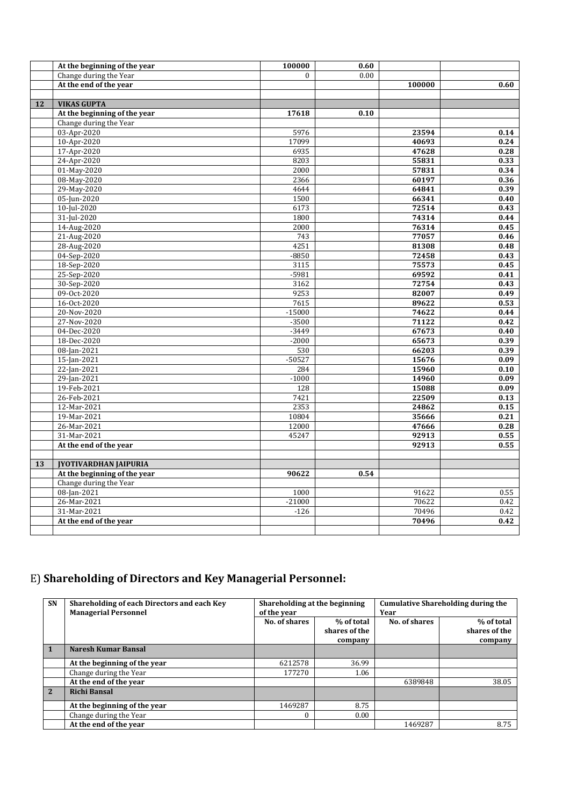|    | At the beginning of the year | 100000       | 0.60 |        |      |
|----|------------------------------|--------------|------|--------|------|
|    | Change during the Year       | $\mathbf{0}$ | 0.00 |        |      |
|    | At the end of the year       |              |      | 100000 | 0.60 |
|    |                              |              |      |        |      |
| 12 | <b>VIKAS GUPTA</b>           |              |      |        |      |
|    | At the beginning of the year | 17618        | 0.10 |        |      |
|    | Change during the Year       |              |      |        |      |
|    | 03-Apr-2020                  | 5976         |      | 23594  | 0.14 |
|    | 10-Apr-2020                  | 17099        |      | 40693  | 0.24 |
|    | 17-Apr-2020                  | 6935         |      | 47628  | 0.28 |
|    | 24-Apr-2020                  | 8203         |      | 55831  | 0.33 |
|    | 01-May-2020                  | 2000         |      | 57831  | 0.34 |
|    | 08-May-2020                  | 2366         |      | 60197  | 0.36 |
|    | 29-May-2020                  | 4644         |      | 64841  | 0.39 |
|    | 05-Jun-2020                  | 1500         |      | 66341  | 0.40 |
|    | 10-Jul-2020                  | 6173         |      | 72514  | 0.43 |
|    | 31-Jul-2020                  | 1800         |      | 74314  | 0.44 |
|    | 14-Aug-2020                  | 2000         |      | 76314  | 0.45 |
|    | 21-Aug-2020                  | 743          |      | 77057  | 0.46 |
|    | 28-Aug-2020                  | 4251         |      | 81308  | 0.48 |
|    | 04-Sep-2020                  | $-8850$      |      | 72458  | 0.43 |
|    | 18-Sep-2020                  | 3115         |      | 75573  | 0.45 |
|    | 25-Sep-2020                  | $-5981$      |      | 69592  | 0.41 |
|    | 30-Sep-2020                  | 3162         |      | 72754  | 0.43 |
|    | 09-Oct-2020                  | 9253         |      | 82007  | 0.49 |
|    | 16-Oct-2020                  | 7615         |      | 89622  | 0.53 |
|    | 20-Nov-2020                  | $-15000$     |      | 74622  | 0.44 |
|    | 27-Nov-2020                  | $-3500$      |      | 71122  | 0.42 |
|    | 04-Dec-2020                  | $-3449$      |      | 67673  | 0.40 |
|    | 18-Dec-2020                  | $-2000$      |      | 65673  | 0.39 |
|    | 08-Jan-2021                  | 530          |      | 66203  | 0.39 |
|    | 15-Jan-2021                  | $-50527$     |      | 15676  | 0.09 |
|    | $22$ -Jan-2021               | 284          |      | 15960  | 0.10 |
|    | 29-Jan-2021                  | $-1000$      |      | 14960  | 0.09 |
|    | 19-Feb-2021                  | 128          |      | 15088  | 0.09 |
|    | 26-Feb-2021                  | 7421         |      | 22509  | 0.13 |
|    | 12-Mar-2021                  | 2353         |      | 24862  | 0.15 |
|    | 19-Mar-2021                  | 10804        |      | 35666  | 0.21 |
|    | 26-Mar-2021                  | 12000        |      | 47666  | 0.28 |
|    | 31-Mar-2021                  | 45247        |      | 92913  | 0.55 |
|    | At the end of the year       |              |      | 92913  | 0.55 |
|    |                              |              |      |        |      |
| 13 | <b>JYOTIVARDHAN JAIPURIA</b> |              |      |        |      |
|    | At the beginning of the year | 90622        | 0.54 |        |      |
|    | Change during the Year       |              |      |        |      |
|    | 08-Jan-2021                  | 1000         |      | 91622  | 0.55 |
|    | 26-Mar-2021                  | $-21000$     |      | 70622  | 0.42 |
|    | 31-Mar-2021                  | $-126$       |      | 70496  | 0.42 |
|    | At the end of the year       |              |      | 70496  | 0.42 |
|    |                              |              |      |        |      |

# E) **Shareholding of Directors and Key Managerial Personnel:**

| SN           | Shareholding of each Directors and each Key<br><b>Managerial Personnel</b> | Shareholding at the beginning<br>of the year |                                        | <b>Cumulative Shareholding during the</b><br>Year |                                        |
|--------------|----------------------------------------------------------------------------|----------------------------------------------|----------------------------------------|---------------------------------------------------|----------------------------------------|
|              |                                                                            | No. of shares                                | % of total<br>shares of the<br>company | No. of shares                                     | % of total<br>shares of the<br>company |
|              | Naresh Kumar Bansal                                                        |                                              |                                        |                                                   |                                        |
|              | At the beginning of the year                                               | 6212578                                      | 36.99                                  |                                                   |                                        |
|              | Change during the Year                                                     | 177270                                       | 1.06                                   |                                                   |                                        |
|              | At the end of the year                                                     |                                              |                                        | 6389848                                           | 38.05                                  |
| $\mathbf{2}$ | <b>Richi Bansal</b>                                                        |                                              |                                        |                                                   |                                        |
|              | At the beginning of the year                                               | 1469287                                      | 8.75                                   |                                                   |                                        |
|              | Change during the Year                                                     | $\Omega$                                     | 0.00                                   |                                                   |                                        |
|              | At the end of the vear                                                     |                                              |                                        | 1469287                                           | 8.75                                   |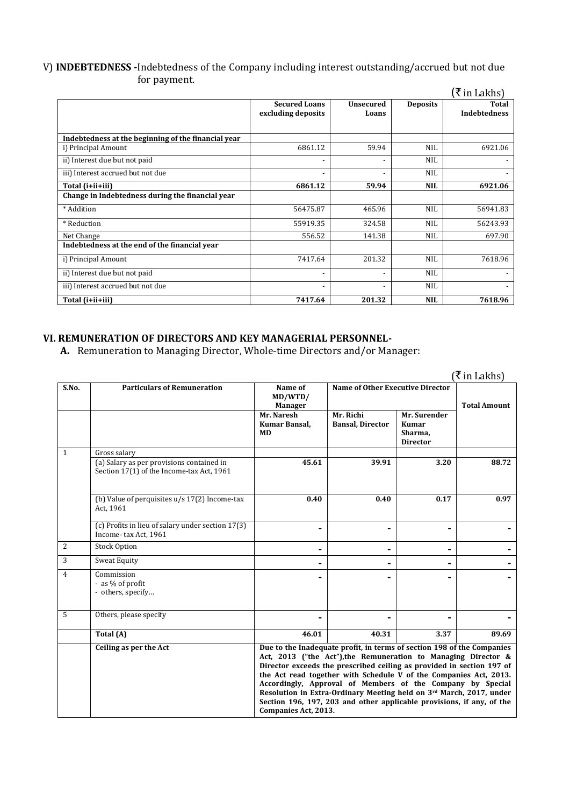#### V) **INDEBTEDNESS -**Indebtedness of the Company including interest outstanding/accrued but not due for payment.

|                                                     |                                            |                           |                 | (₹ in Lakhs)                 |
|-----------------------------------------------------|--------------------------------------------|---------------------------|-----------------|------------------------------|
|                                                     | <b>Secured Loans</b><br>excluding deposits | <b>Unsecured</b><br>Loans | <b>Deposits</b> | Total<br><b>Indebtedness</b> |
| Indebtedness at the beginning of the financial year |                                            |                           |                 |                              |
| i) Principal Amount                                 | 6861.12                                    | 59.94                     | NIL             | 6921.06                      |
| ii) Interest due but not paid                       |                                            |                           | <b>NIL</b>      |                              |
| iii) Interest accrued but not due                   | $\overline{\phantom{a}}$                   | $\overline{\phantom{0}}$  | <b>NIL</b>      |                              |
| Total (i+ii+iii)                                    | 6861.12                                    | 59.94                     | <b>NIL</b>      | 6921.06                      |
| Change in Indebtedness during the financial year    |                                            |                           |                 |                              |
| * Addition                                          | 56475.87                                   | 465.96                    | <b>NIL</b>      | 56941.83                     |
| * Reduction                                         | 55919.35                                   | 324.58                    | <b>NIL</b>      | 56243.93                     |
| Net Change                                          | 556.52                                     | 141.38                    | NIL             | 697.90                       |
| Indebtedness at the end of the financial year       |                                            |                           |                 |                              |
| i) Principal Amount                                 | 7417.64                                    | 201.32                    | <b>NIL</b>      | 7618.96                      |
| ii) Interest due but not paid                       |                                            |                           | <b>NIL</b>      |                              |
| iii) Interest accrued but not due                   | $\blacksquare$                             |                           | <b>NIL</b>      | $\overline{\phantom{a}}$     |
| Total (i+ii+iii)                                    | 7417.64                                    | 201.32                    | <b>NIL</b>      | 7618.96                      |

## **VI. REMUNERATION OF DIRECTORS AND KEY MANAGERIAL PERSONNEL-**

**A.** Remuneration to Managing Director, Whole-time Directors and/or Manager:

|                |                                                                                        |                                                                                                                                                                                                                                                                                                                                                                                                                                                                                                                              |                                      |                                                            | (₹ in Lakhs)        |
|----------------|----------------------------------------------------------------------------------------|------------------------------------------------------------------------------------------------------------------------------------------------------------------------------------------------------------------------------------------------------------------------------------------------------------------------------------------------------------------------------------------------------------------------------------------------------------------------------------------------------------------------------|--------------------------------------|------------------------------------------------------------|---------------------|
| S.No.          | <b>Particulars of Remuneration</b>                                                     | Name of<br>MD/WTD/<br><b>Manager</b>                                                                                                                                                                                                                                                                                                                                                                                                                                                                                         | Name of Other Executive Director     |                                                            | <b>Total Amount</b> |
|                |                                                                                        | Mr. Naresh<br>Kumar Bansal,<br><b>MD</b>                                                                                                                                                                                                                                                                                                                                                                                                                                                                                     | Mr. Richi<br><b>Bansal, Director</b> | Mr. Surender<br><b>Kumar</b><br>Sharma.<br><b>Director</b> |                     |
| $\mathbf{1}$   | Gross salary                                                                           |                                                                                                                                                                                                                                                                                                                                                                                                                                                                                                                              |                                      |                                                            |                     |
|                | (a) Salary as per provisions contained in<br>Section 17(1) of the Income-tax Act, 1961 | 45.61                                                                                                                                                                                                                                                                                                                                                                                                                                                                                                                        | 39.91                                | 3.20                                                       | 88.72               |
|                | (b) Value of perquisites $u/s$ 17(2) Income-tax<br>Act. 1961                           | 0.40                                                                                                                                                                                                                                                                                                                                                                                                                                                                                                                         | 0.40                                 | 0.17                                                       | 0.97                |
|                | (c) Profits in lieu of salary under section 17(3)<br>Income-tax Act, 1961              |                                                                                                                                                                                                                                                                                                                                                                                                                                                                                                                              |                                      |                                                            |                     |
| 2              | <b>Stock Option</b>                                                                    |                                                                                                                                                                                                                                                                                                                                                                                                                                                                                                                              | ۰                                    |                                                            |                     |
| 3              | Sweat Equity                                                                           |                                                                                                                                                                                                                                                                                                                                                                                                                                                                                                                              |                                      |                                                            |                     |
| $\overline{4}$ | Commission<br>- as % of profit<br>- others, specify                                    |                                                                                                                                                                                                                                                                                                                                                                                                                                                                                                                              |                                      |                                                            |                     |
| 5              | Others, please specify                                                                 |                                                                                                                                                                                                                                                                                                                                                                                                                                                                                                                              |                                      |                                                            |                     |
|                | Total (A)                                                                              | 46.01                                                                                                                                                                                                                                                                                                                                                                                                                                                                                                                        | 40.31                                | 3.37                                                       | 89.69               |
|                | Ceiling as per the Act                                                                 | Due to the Inadequate profit, in terms of section 198 of the Companies<br>Act, 2013 ("the Act"), the Remuneration to Managing Director &<br>Director exceeds the prescribed ceiling as provided in section 197 of<br>the Act read together with Schedule V of the Companies Act, 2013.<br>Accordingly, Approval of Members of the Company by Special<br>Resolution in Extra-Ordinary Meeting held on 3rd March, 2017, under<br>Section 196, 197, 203 and other applicable provisions, if any, of the<br>Companies Act, 2013. |                                      |                                                            |                     |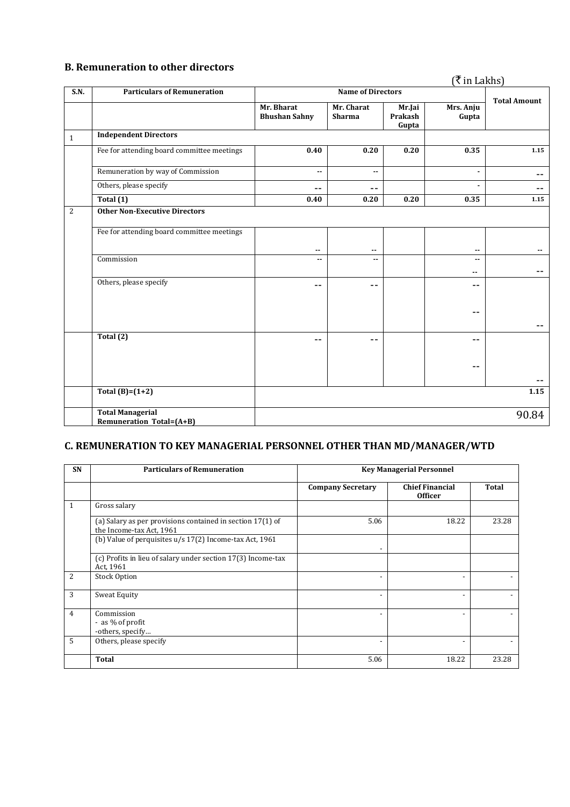#### **B. Remuneration to other directors**

## $(\bar{\mathbf{\xi}}$  in Lakhs)

| S.N.         | <b>Particulars of Remuneration</b>                         | <b>Name of Directors</b>           |                             |                            |                                           |                     |
|--------------|------------------------------------------------------------|------------------------------------|-----------------------------|----------------------------|-------------------------------------------|---------------------|
|              |                                                            | Mr. Bharat<br><b>Bhushan Sahny</b> | Mr. Charat<br><b>Sharma</b> | Mr.Jai<br>Prakash<br>Gupta | Mrs. Anju<br>Gupta                        | <b>Total Amount</b> |
| $\mathbf{1}$ | <b>Independent Directors</b>                               |                                    |                             |                            |                                           |                     |
|              | Fee for attending board committee meetings                 | 0.40                               | 0.20                        | 0.20                       | 0.35                                      | 1.15                |
|              | Remuneration by way of Commission                          | $\mathbf{u}$                       | ۰.                          |                            |                                           | $- -$               |
|              | Others, please specify                                     | --                                 | --                          |                            |                                           | $- -$               |
|              | Total (1)                                                  | 0.40                               | 0.20                        | 0.20                       | 0.35                                      | 1.15                |
| 2            | <b>Other Non-Executive Directors</b>                       |                                    |                             |                            |                                           |                     |
|              | Fee for attending board committee meetings                 | $-$                                | $-$                         |                            | $\sim$ $\sim$                             | --                  |
|              | Commission                                                 | $\overline{\phantom{a}}$           | --                          |                            | $\overline{\phantom{a}}$<br>$\sim$ $\sim$ |                     |
|              | Others, please specify                                     | --                                 | --                          |                            | --                                        |                     |
|              |                                                            |                                    |                             |                            | $-$                                       |                     |
|              | Total (2)                                                  | --                                 | --                          |                            | $ -$                                      |                     |
|              |                                                            |                                    |                             |                            | $-$                                       |                     |
|              | Total $(B)=(1+2)$                                          |                                    |                             |                            |                                           | 1.15                |
|              | <b>Total Managerial</b><br><b>Remuneration Total=(A+B)</b> |                                    |                             |                            |                                           | 90.84               |

## **C. REMUNERATION TO KEY MANAGERIAL PERSONNEL OTHER THAN MD/MANAGER/WTD**

| SN | <b>Particulars of Remuneration</b>                                                       |                          | <b>Key Managerial Personnel</b>          |              |  |  |
|----|------------------------------------------------------------------------------------------|--------------------------|------------------------------------------|--------------|--|--|
|    |                                                                                          | <b>Company Secretary</b> | <b>Chief Financial</b><br><b>Officer</b> | <b>Total</b> |  |  |
| 1  | Gross salary                                                                             |                          |                                          |              |  |  |
|    | (a) Salary as per provisions contained in section $17(1)$ of<br>the Income-tax Act, 1961 | 5.06                     | 18.22                                    | 23.28        |  |  |
|    | (b) Value of perquisites u/s 17(2) Income-tax Act, 1961                                  | -                        |                                          |              |  |  |
|    | (c) Profits in lieu of salary under section 17(3) Income-tax<br>Act, 1961                |                          |                                          |              |  |  |
| 2  | <b>Stock Option</b>                                                                      | $\overline{\phantom{a}}$ |                                          |              |  |  |
| 3  | Sweat Equity                                                                             | $\overline{\phantom{a}}$ | $\overline{\phantom{0}}$                 | $\sim$       |  |  |
| 4  | Commission<br>- as % of profit<br>-others, specify                                       | $\overline{\phantom{0}}$ |                                          |              |  |  |
| 5  | Others, please specify                                                                   | -                        |                                          |              |  |  |
|    | <b>Total</b>                                                                             | 5.06                     | 18.22                                    | 23.28        |  |  |